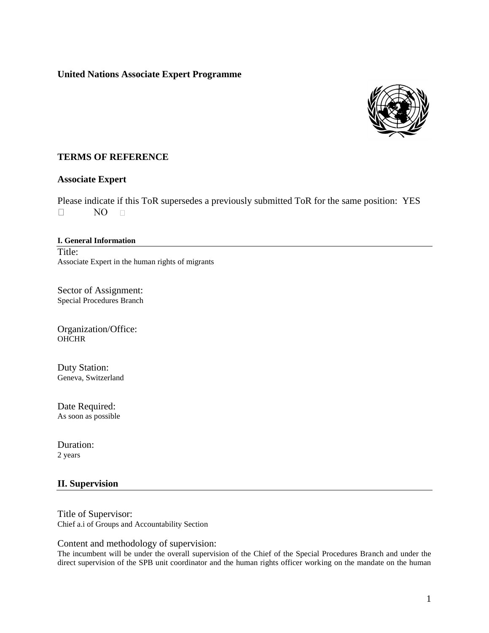## **United Nations Associate Expert Programme**



## **TERMS OF REFERENCE**

#### **Associate Expert**

Please indicate if this ToR supersedes a previously submitted ToR for the same position: YES  $\Box$ NO.  $\Box$ 

### **I. General Information** Title: Associate Expert in the human rights of migrants

Sector of Assignment: Special Procedures Branch

Organization/Office: **OHCHR** 

Duty Station: Geneva, Switzerland

Date Required: As soon as possible

Duration: 2 years

## **II. Supervision**

Title of Supervisor: Chief a.i of Groups and Accountability Section

Content and methodology of supervision:

The incumbent will be under the overall supervision of the Chief of the Special Procedures Branch and under the direct supervision of the SPB unit coordinator and the human rights officer working on the mandate on the human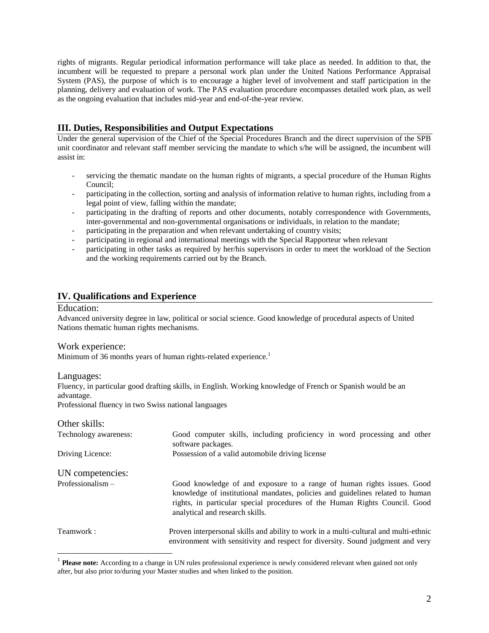rights of migrants. Regular periodical information performance will take place as needed. In addition to that, the incumbent will be requested to prepare a personal work plan under the United Nations Performance Appraisal System (PAS), the purpose of which is to encourage a higher level of involvement and staff participation in the planning, delivery and evaluation of work. The PAS evaluation procedure encompasses detailed work plan, as well as the ongoing evaluation that includes mid-year and end-of-the-year review.

# **III. Duties, Responsibilities and Output Expectations**

Under the general supervision of the Chief of the Special Procedures Branch and the direct supervision of the SPB unit coordinator and relevant staff member servicing the mandate to which s/he will be assigned, the incumbent will assist in:

- servicing the thematic mandate on the human rights of migrants, a special procedure of the Human Rights Council;
- participating in the collection, sorting and analysis of information relative to human rights, including from a legal point of view, falling within the mandate;
- participating in the drafting of reports and other documents, notably correspondence with Governments, inter-governmental and non-governmental organisations or individuals, in relation to the mandate;
- participating in the preparation and when relevant undertaking of country visits;
- participating in regional and international meetings with the Special Rapporteur when relevant
- participating in other tasks as required by her/his supervisors in order to meet the workload of the Section and the working requirements carried out by the Branch.

## **IV. Qualifications and Experience**

#### Education:

Advanced university degree in law, political or social science. Good knowledge of procedural aspects of United Nations thematic human rights mechanisms.

Work experience:

Minimum of 36 months years of human rights-related experience.<sup>1</sup>

Languages:

Fluency, in particular good drafting skills, in English. Working knowledge of French or Spanish would be an advantage.

Professional fluency in two Swiss national languages

Other skills:

| Technology awareness: | Good computer skills, including proficiency in word processing and other<br>software packages.                                                                                                                                                                           |
|-----------------------|--------------------------------------------------------------------------------------------------------------------------------------------------------------------------------------------------------------------------------------------------------------------------|
| Driving Licence:      | Possession of a valid automobile driving license                                                                                                                                                                                                                         |
| UN competencies:      |                                                                                                                                                                                                                                                                          |
| Professionalism $-$   | Good knowledge of and exposure to a range of human rights issues. Good<br>knowledge of institutional mandates, policies and guidelines related to human<br>rights, in particular special procedures of the Human Rights Council. Good<br>analytical and research skills. |
| Teamwork:             | Proven interpersonal skills and ability to work in a multi-cultural and multi-ethnic<br>environment with sensitivity and respect for diversity. Sound judgment and very                                                                                                  |

<sup>&</sup>lt;sup>1</sup> Please note: According to a change in UN rules professional experience is newly considered relevant when gained not only after, but also prior to/during your Master studies and when linked to the position.